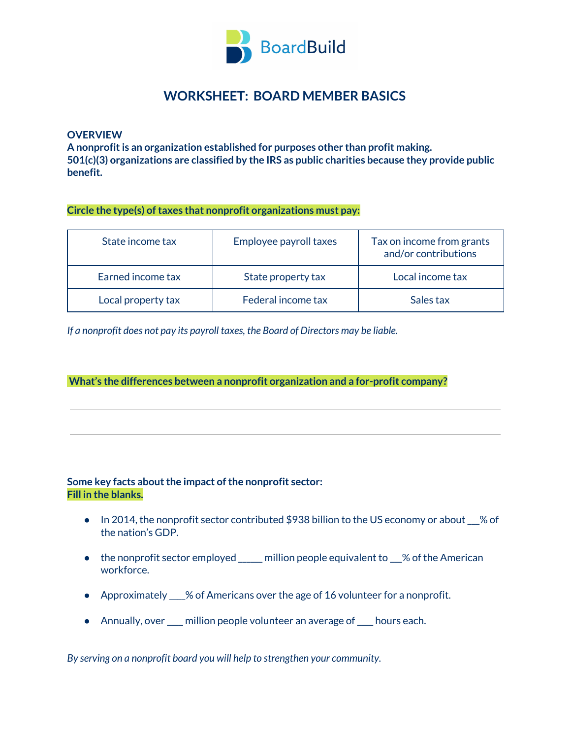

# **WORKSHEET: BOARD MEMBER BASICS**

**OVERVIEW**

**A nonprofitis an organization established for purposes other than profit making. 501(c)(3) organizations are classified by the IRS as public charities because they provide public benefit.**

**Circle the type(s) oftaxes that nonprofit organizations must pay:**

| State income tax   | Employee payroll taxes | Tax on income from grants<br>and/or contributions |
|--------------------|------------------------|---------------------------------------------------|
| Earned income tax  | State property tax     | Local income tax                                  |
| Local property tax | Federal income tax     | Sales tax                                         |

*If a nonprofit does not pay its payroll taxes, the Board of Directors may be liable.*

**What's the differences between a nonprofit organization and a for-profit company?**

### **Some** key facts about the impact of the nonprofit sector: **Fill in the blanks.**

- In 2014, the nonprofit sector contributed \$938 billion to the US economy or about % of the nation's GDP.
- the nonprofit sector employed \_\_\_\_\_ million people equivalent to \_\_% of the American workforce.
- Approximately \_\_\_\_% of Americans over the age of 16 volunteer for a nonprofit.
- Annually, over \_\_\_\_ million people volunteer an average of\_\_\_\_ hours each.

*By serving on a nonprofit board you will help to strengthen your community.*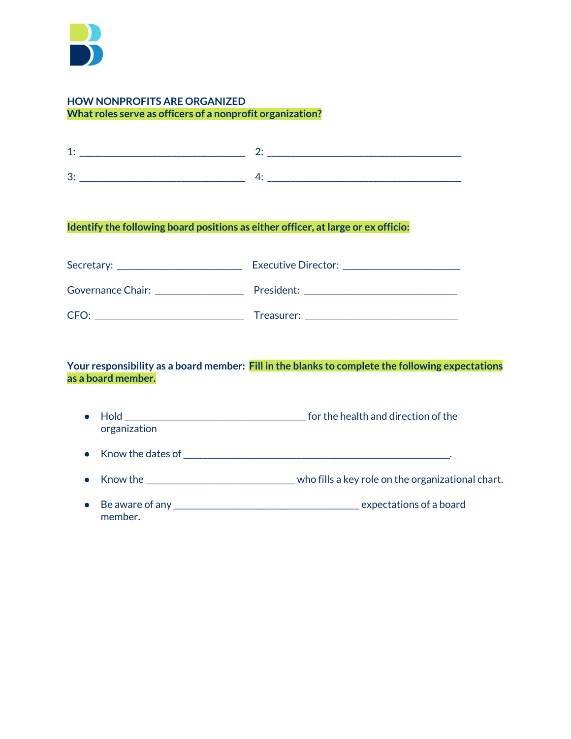

### **HOW NONPROFITS ARE ORGANIZED What roles serve as officers of a nonprofit organization?**

| -- |  |
|----|--|
|    |  |

# **Identify the following board positions as either officer, atlarge or ex officio:**

| Secretary:        | Executive Director: |
|-------------------|---------------------|
| Governance Chair: | President:          |
| CFO:              | Treasurer:          |

**Your responsibility as a board member: Fill in the blanks to complete the following expectations as a board member.**

- Hold \_\_\_\_\_\_\_\_\_\_\_\_\_\_\_\_\_\_\_\_\_\_\_\_\_\_\_\_\_\_\_\_\_\_\_\_\_\_\_\_\_\_\_\_\_for the health and direction of the organization
- Know the dates of\_\_\_\_\_\_\_\_\_\_\_\_\_\_\_\_\_\_\_\_\_\_\_\_\_\_\_\_\_\_\_\_\_\_\_\_\_\_\_\_\_\_\_\_\_\_\_\_\_\_\_\_\_\_\_\_\_\_\_\_\_\_\_\_\_\_.
- Know the \_\_\_\_\_\_\_\_\_\_\_\_\_\_\_\_\_\_\_\_\_\_\_\_\_\_\_\_\_\_\_\_\_\_\_\_\_ who fills a key role on the organizational chart.
- Be aware of any \_\_\_\_\_\_\_\_\_\_\_\_\_\_\_\_\_\_\_\_\_\_\_\_\_\_\_\_\_\_\_\_\_\_\_\_\_\_\_\_\_\_\_\_\_\_ expectations of a board member.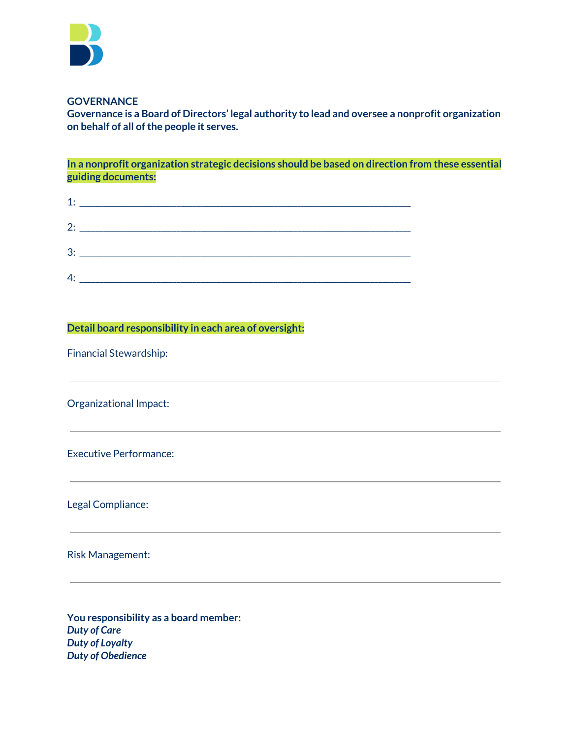

#### **GOVERNANCE**

**Governance is a Board of Directors' legal authority to lead and oversee a nonprofit organization on behalf of all ofthe people it serves.**

**In a nonprofit organization strategic decisions should be based on direction from these essential guiding documents:**

|    | $2:$ $\overline{\phantom{a}}$ |
|----|-------------------------------|
|    |                               |
| 4: |                               |

**Detail board responsibility in each area of oversight:**

Financial Stewardship:

Organizational Impact:

Executive Performance:

Legal Compliance:

Risk Management:

**You responsibility as a board member:** *Duty of Care Duty of Loyalty Duty of Obedience*